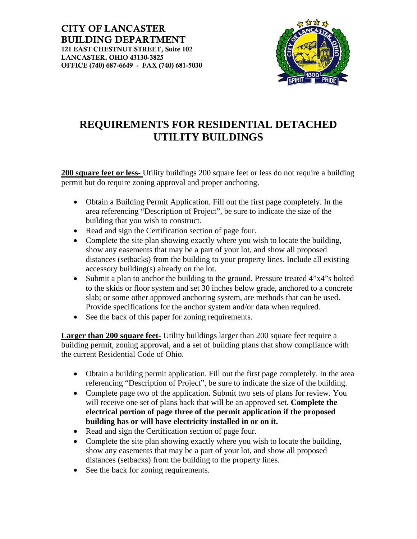CITY OF LANCASTER BUILDING DEPARTMENT 121 EAST CHESTNUT STREET, Suite 102 LANCASTER, OHIO 43130-3825 OFFICE (740) 687-6649 - FAX (740) 681-5030



### **REQUIREMENTS FOR RESIDENTIAL DETACHED UTILITY BUILDINGS**

**200 square feet or less-** Utility buildings 200 square feet or less do not require a building permit but do require zoning approval and proper anchoring.

- Obtain a Building Permit Application. Fill out the first page completely. In the area referencing "Description of Project", be sure to indicate the size of the building that you wish to construct.
- Read and sign the Certification section of page four.
- Complete the site plan showing exactly where you wish to locate the building, show any easements that may be a part of your lot, and show all proposed distances (setbacks) from the building to your property lines. Include all existing accessory building(s) already on the lot.
- Submit a plan to anchor the building to the ground. Pressure treated 4"x4"s bolted to the skids or floor system and set 30 inches below grade, anchored to a concrete slab; or some other approved anchoring system, are methods that can be used. Provide specifications for the anchor system and/or data when required.
- See the back of this paper for zoning requirements.

**Larger than 200 square feet-** Utility buildings larger than 200 square feet require a building permit, zoning approval, and a set of building plans that show compliance with the current Residential Code of Ohio.

- Obtain a building permit application. Fill out the first page completely. In the area referencing "Description of Project", be sure to indicate the size of the building.
- Complete page two of the application. Submit two sets of plans for review. You will receive one set of plans back that will be an approved set. **Complete the electrical portion of page three of the permit application if the proposed building has or will have electricity installed in or on it.**
- Read and sign the Certification section of page four.
- Complete the site plan showing exactly where you wish to locate the building, show any easements that may be a part of your lot, and show all proposed distances (setbacks) from the building to the property lines.
- See the back for zoning requirements.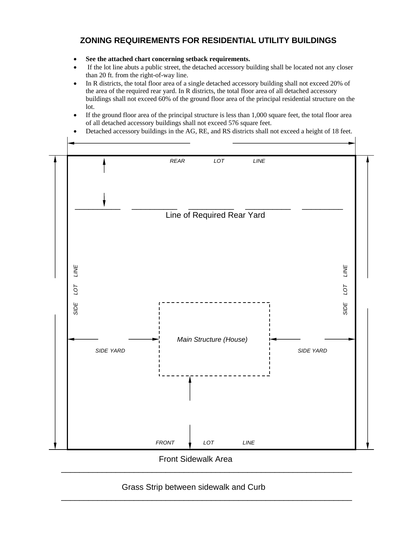#### **ZONING REQUIREMENTS FOR RESIDENTIAL UTILITY BUILDINGS**

- **See the attached chart concerning setback requirements.**
- If the lot line abuts a public street, the detached accessory building shall be located not any closer than 20 ft. from the right-of-way line.
- In R districts, the total floor area of a single detached accessory building shall not exceed 20% of the area of the required rear yard. In R districts, the total floor area of all detached accessory buildings shall not exceed 60% of the ground floor area of the principal residential structure on the lot.
- If the ground floor area of the principal structure is less than 1,000 square feet, the total floor area of all detached accessory buildings shall not exceed 576 square feet.
- Detached accessory buildings in the AG, RE, and RS districts shall not exceed a height of 18 feet.



Front Sidewalk Area

\_\_\_\_\_\_\_\_\_\_\_\_\_\_\_\_\_\_\_\_\_\_\_\_\_\_\_\_\_\_\_\_\_\_\_\_\_\_\_\_\_\_\_\_\_\_\_\_\_\_\_\_\_\_\_\_\_\_\_\_\_\_\_\_

\_\_\_\_\_\_\_\_\_\_\_\_\_\_\_\_\_\_\_\_\_\_\_\_\_\_\_\_\_\_\_\_\_\_\_\_\_\_\_\_\_\_\_\_\_\_\_\_\_\_\_\_\_\_\_\_\_\_\_\_\_\_\_\_

#### Grass Strip between sidewalk and Curb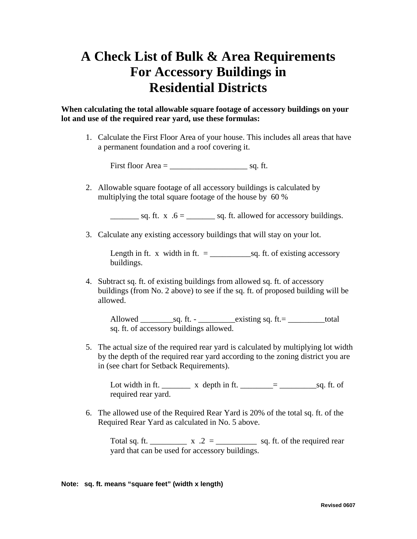## **A Check List of Bulk & Area Requirements For Accessory Buildings in Residential Districts**

**When calculating the total allowable square footage of accessory buildings on your lot and use of the required rear yard, use these formulas:**

1. Calculate the First Floor Area of your house. This includes all areas that have a permanent foundation and a roof covering it.

First floor Area  $=$  sq. ft.

2. Allowable square footage of all accessory buildings is calculated by multiplying the total square footage of the house by 60 %

 $\frac{\ }{2}$  sq. ft. x  $.6 = \_$  sq. ft. allowed for accessory buildings.

3. Calculate any existing accessory buildings that will stay on your lot.

Length in ft. x width in ft. = \_\_\_\_\_\_\_\_\_\_sq. ft. of existing accessory buildings.

4. Subtract sq. ft. of existing buildings from allowed sq. ft. of accessory buildings (from No. 2 above) to see if the sq. ft. of proposed building will be allowed.

Allowed  $\_\_\_\$ sq. ft. - $\_\_\_\$ existing sq. ft. =  $\_\_\_\_$ total sq. ft. of accessory buildings allowed.

5. The actual size of the required rear yard is calculated by multiplying lot width by the depth of the required rear yard according to the zoning district you are in (see chart for Setback Requirements).

Lot width in ft. \_\_\_\_\_\_\_ x depth in ft. \_\_\_\_\_\_\_\_= \_\_\_\_\_\_\_\_\_sq. ft. of required rear yard.

6. The allowed use of the Required Rear Yard is 20% of the total sq. ft. of the Required Rear Yard as calculated in No. 5 above.

Total sq. ft. \_\_\_\_\_\_\_\_\_ x .2 = \_\_\_\_\_\_\_\_\_ sq. ft. of the required rear yard that can be used for accessory buildings.

#### **Note: sq. ft. means "square feet" (width x length)**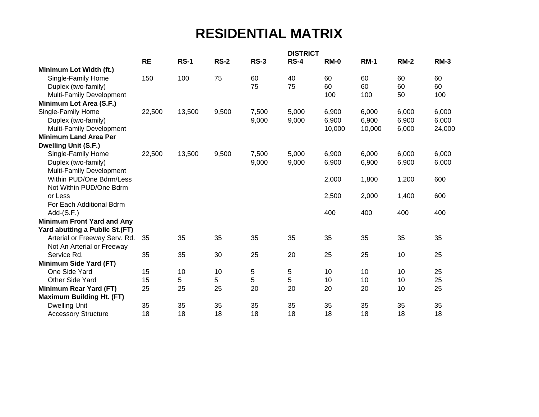## **RESIDENTIAL MATRIX**

|                                   |           |             |             |             | <b>DISTRICT</b> |             |             |             |        |
|-----------------------------------|-----------|-------------|-------------|-------------|-----------------|-------------|-------------|-------------|--------|
|                                   | <b>RE</b> | <b>RS-1</b> | <b>RS-2</b> | <b>RS-3</b> | <b>RS-4</b>     | <b>RM-0</b> | <b>RM-1</b> | <b>RM-2</b> | $RM-3$ |
| Minimum Lot Width (ft.)           |           |             |             |             |                 |             |             |             |        |
| Single-Family Home                | 150       | 100         | 75          | 60          | 40              | 60          | 60          | 60          | 60     |
| Duplex (two-family)               |           |             |             | 75          | 75              | 60          | 60          | 60          | 60     |
| Multi-Family Development          |           |             |             |             |                 | 100         | 100         | 50          | 100    |
| Minimum Lot Area (S.F.)           |           |             |             |             |                 |             |             |             |        |
| Single-Family Home                | 22,500    | 13,500      | 9,500       | 7,500       | 5,000           | 6,900       | 6,000       | 6,000       | 6,000  |
| Duplex (two-family)               |           |             |             | 9,000       | 9,000           | 6,900       | 6,900       | 6,900       | 6,000  |
| Multi-Family Development          |           |             |             |             |                 | 10,000      | 10,000      | 6,000       | 24,000 |
| <b>Minimum Land Area Per</b>      |           |             |             |             |                 |             |             |             |        |
| <b>Dwelling Unit (S.F.)</b>       |           |             |             |             |                 |             |             |             |        |
| Single-Family Home                | 22,500    | 13,500      | 9,500       | 7,500       | 5,000           | 6,900       | 6,000       | 6,000       | 6,000  |
| Duplex (two-family)               |           |             |             | 9,000       | 9,000           | 6,900       | 6,900       | 6,900       | 6,000  |
| Multi-Family Development          |           |             |             |             |                 |             |             |             |        |
| Within PUD/One Bdrm/Less          |           |             |             |             |                 | 2,000       | 1,800       | 1,200       | 600    |
| Not Within PUD/One Bdrm           |           |             |             |             |                 |             |             |             |        |
| or Less                           |           |             |             |             |                 | 2,500       | 2,000       | 1,400       | 600    |
| For Each Additional Bdrm          |           |             |             |             |                 |             |             |             |        |
| $Add-(S.F.)$                      |           |             |             |             |                 | 400         | 400         | 400         | 400    |
| <b>Minimum Front Yard and Any</b> |           |             |             |             |                 |             |             |             |        |
| Yard abutting a Public St.(FT)    |           |             |             |             |                 |             |             |             |        |
| Arterial or Freeway Serv. Rd.     | 35        | 35          | 35          | 35          | 35              | 35          | 35          | 35          | 35     |
| Not An Arterial or Freeway        |           |             |             |             |                 |             |             |             |        |
| Service Rd.                       | 35        | 35          | 30          | 25          | 20              | 25          | 25          | 10          | 25     |
| Minimum Side Yard (FT)            |           |             |             |             |                 |             |             |             |        |
| One Side Yard                     | 15        | 10          | 10          | 5           | 5               | 10          | 10          | 10          | 25     |
| Other Side Yard                   | 15        | 5           | 5           | 5           | 5               | 10          | 10          | 10          | 25     |
| Minimum Rear Yard (FT)            | 25        | 25          | 25          | 20          | 20              | 20          | 20          | 10          | 25     |
| <b>Maximum Building Ht. (FT)</b>  |           |             |             |             |                 |             |             |             |        |
| <b>Dwelling Unit</b>              | 35        | 35          | 35          | 35          | 35              | 35          | 35          | 35          | 35     |
| <b>Accessory Structure</b>        | 18        | 18          | 18          | 18          | 18              | 18          | 18          | 18          | 18     |